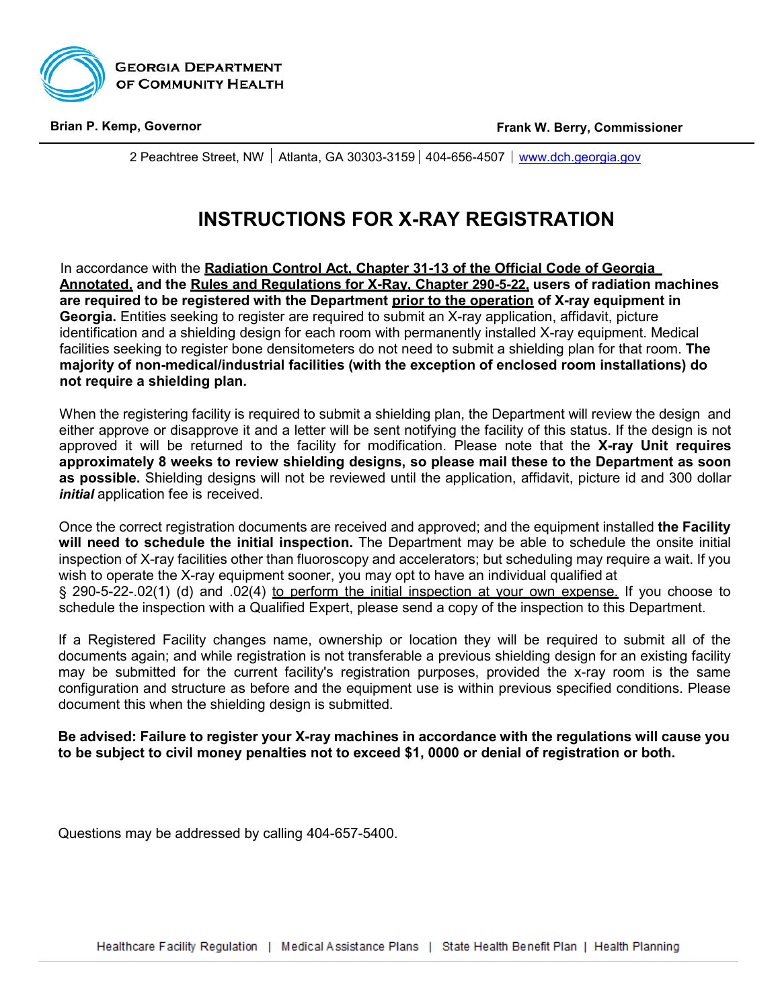

2 Peachtree Street, NW  $\vert$  Atlanta, GA 30303-3159  $\vert$  404-656-4507  $\vert$  [www.dch.georgia.gov](http://www.dch.georgia.gov/)

# **INSTRUCTIONS FOR X-RAY REGISTRATION**

In accordance with the **Radiation Control Act, Chapter 31-13 of the Official Code of Georgia Annotated, and the Rules and Regulations for X-Ray, Chapter 290-5-22, users of radiation machines are required to be registered with the Department prior to the operation of X-ray equipment in Georgia.** Entities seeking to register are required to submit an X-ray application, affidavit, picture identification and a shielding design for each room with permanently installed X-ray equipment. Medical facilities seeking to register bone densitometers do not need to submit a shielding plan for that room. **The majority of non-medical/industrial facilities (with the exception of enclosed room installations) do not require a shielding plan.**

When the registering facility is required to submit a shielding plan, the Department will review the design and either approve or disapprove it and a letter will be sent notifying the facility of this status. If the design is not approved it will be returned to the facility for modification. Please note that the **X-ray Unit requires approximately 8 weeks to review shielding designs, so please mail these to the Department as soon as possible.** Shielding designs will not be reviewed until the application, affidavit, picture id and 300 dollar *initial* application fee is received.

Once the correct registration documents are received and approved; and the equipment installed **the Facility will need to schedule the initial inspection.** The Department may be able to schedule the onsite initial inspection of X-ray facilities other than fluoroscopy and accelerators; but scheduling may require a wait. If you wish to operate the X-ray equipment sooner, you may opt to have an individual qualified at § 290-5-22-.02(1) (d) and .02(4) to perform the initial inspection at your own expense. If you choose to schedule the inspection with a Qualified Expert, please send a copy of the inspection to this Department.

If a Registered Facility changes name, ownership or location they will be required to submit all of the documents again; and while registration is not transferable a previous shielding design for an existing facility may be submitted for the current facility's registration purposes, provided the x-ray room is the same configuration and structure as before and the equipment use is within previous specified conditions. Please document this when the shielding design is submitted.

**Be advised: Failure to register your X-ray machines in accordance with the regulations will cause you to be subject to civil money penalties not to exceed \$1, 0000 or denial of registration or both.**

Questions may be addressed by calling 404-657-5400.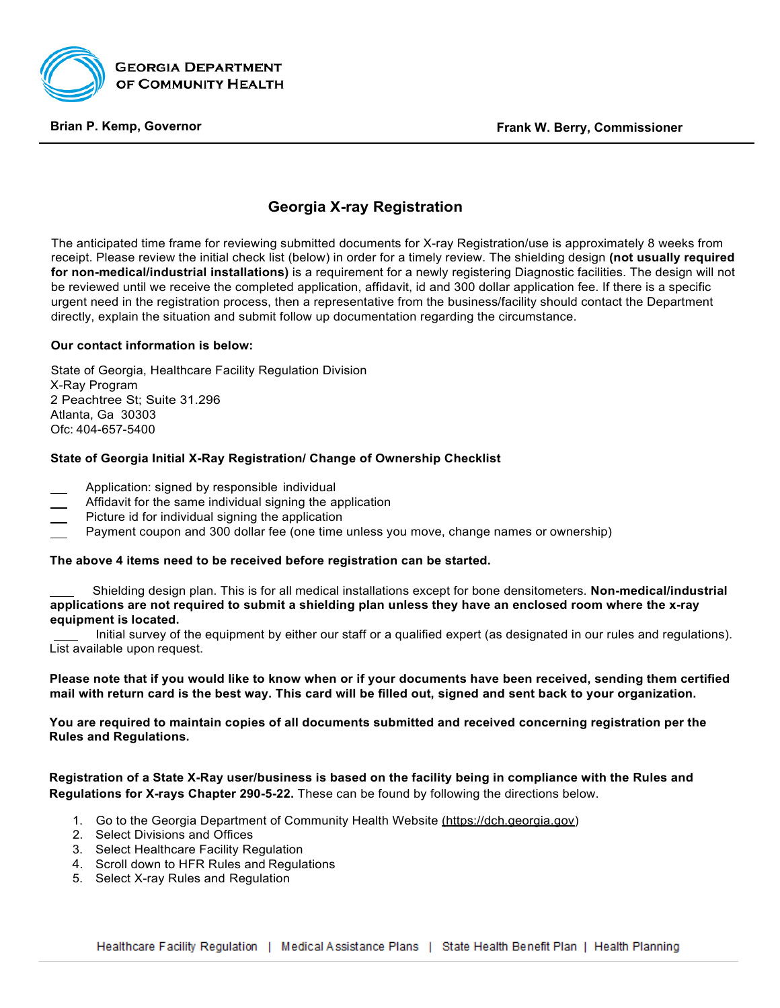

## **Georgia X-ray Registration**

The anticipated time frame for reviewing submitted documents for X-ray Registration/use is approximately 8 weeks from receipt. Please review the initial check list (below) in order for a timely review. The shielding design **(not usually required for non-medical/industrial installations)** is a requirement for a newly registering Diagnostic facilities. The design will not be reviewed until we receive the completed application, affidavit, id and 300 dollar application fee. If there is a specific urgent need in the registration process, then a representative from the business/facility should contact the Department directly, explain the situation and submit follow up documentation regarding the circumstance.

### **Our contact information is below:**

State of Georgia, Healthcare Facility Regulation Division X-Ray Program 2 Peachtree St; Suite 31.296 Atlanta, Ga 30303 Ofc: 404-657-5400

### **State of Georgia Initial X-Ray Registration/ Change of Ownership Checklist**

- Application: signed by responsible individual
- Affidavit for the same individual signing the application
- Picture id for individual signing the application
- Payment coupon and 300 dollar fee (one time unless you move, change names or ownership)

### **The above 4 items need to be received before registration can be started.**

Shielding design plan. This is for all medical installations except for bone densitometers. **Non-medical/industrial applications are not required to submit a shielding plan unless they have an enclosed room where the x-ray equipment is located.**

Initial survey of the equipment by either our staff or a qualified expert (as designated in our rules and regulations). List available upon request.

**Please note that if you would like to know when or if your documents have been received, sending them certified mail with return card is the best way. This card will be filled out, signed and sent back to your organization.**

**You are required to maintain copies of all documents submitted and received concerning registration per the Rules and Regulations.**

### **Registration of a State X-Ray user/business is based on the facility being in compliance with the Rules and Regulations for X-rays Chapter 290-5-22.** These can be found by following the directions below.

- 1. Go to the Georgia Department of Community Health Website (https://dch.georgia.gov)
- 2. Select Divisions and Offices
- 3. Select Healthcare Facility Regulation
- 4. Scroll down to HFR Rules and Regulations
- 5. Select X-ray Rules and Regulation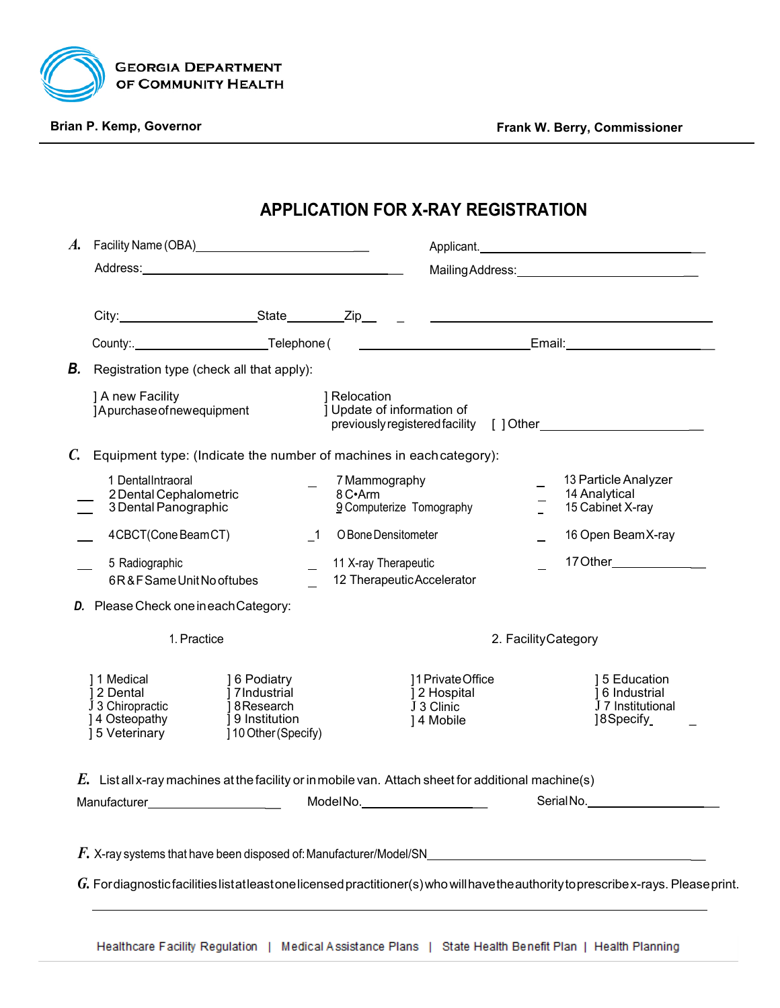

# **APPLICATION FOR X-RAY REGISTRATION**

| A.              |                                                                                | Facility Name (OBA)_______________________________                                 |                                                                                                        | Applicant.                                                      |  |
|-----------------|--------------------------------------------------------------------------------|------------------------------------------------------------------------------------|--------------------------------------------------------------------------------------------------------|-----------------------------------------------------------------|--|
|                 |                                                                                |                                                                                    |                                                                                                        |                                                                 |  |
|                 |                                                                                |                                                                                    |                                                                                                        |                                                                 |  |
|                 |                                                                                |                                                                                    |                                                                                                        |                                                                 |  |
| В.              | Registration type (check all that apply):                                      |                                                                                    |                                                                                                        |                                                                 |  |
|                 | ] A new Facility<br>]Apurchase of newequipment                                 | ] Relocation                                                                       | ] Update of information of                                                                             |                                                                 |  |
| $\mathcal{C}$ . |                                                                                | Equipment type: (Indicate the number of machines in each category):                |                                                                                                        |                                                                 |  |
|                 | 1 DentalIntraoral<br>2 Dental Cephalometric<br>3 Dental Panographic            | 8 C•Arm                                                                            | 7 Mammography<br>9 Computerize Tomography                                                              | 13 Particle Analyzer<br>14 Analytical<br>15 Cabinet X-ray       |  |
|                 | 4CBCT(ConeBeamCT)                                                              | $\overline{\phantom{0}}$ 1                                                         | O Bone Densitometer                                                                                    | 16 Open BeamX-ray                                               |  |
|                 | 5 Radiographic<br>6R&F Same Unit No of tubes                                   |                                                                                    | 11 X-ray Therapeutic<br>12 Therapeutic Accelerator                                                     | 17 Other______________                                          |  |
|                 | D. Please Check one in each Category:                                          |                                                                                    |                                                                                                        |                                                                 |  |
|                 | 1. Practice                                                                    |                                                                                    |                                                                                                        | 2. Facility Category                                            |  |
|                 | 11 Medical<br>12 Dental<br>J 3 Chiropractic<br>] 4 Osteopathy<br>15 Veterinary | 16 Podiatry<br>17Industrial<br>18 Research<br>19 Institution<br>10 Other (Specify) | 11 Private Office<br>12 Hospital<br>J 3 Clinic<br>14 Mobile                                            | 15 Education<br>16 Industrial<br>J 7 Institutional<br>18Specify |  |
|                 |                                                                                |                                                                                    | $E$ . List all x-ray machines at the facility or in mobile van. Attach sheet for additional machine(s) |                                                                 |  |
|                 |                                                                                |                                                                                    |                                                                                                        |                                                                 |  |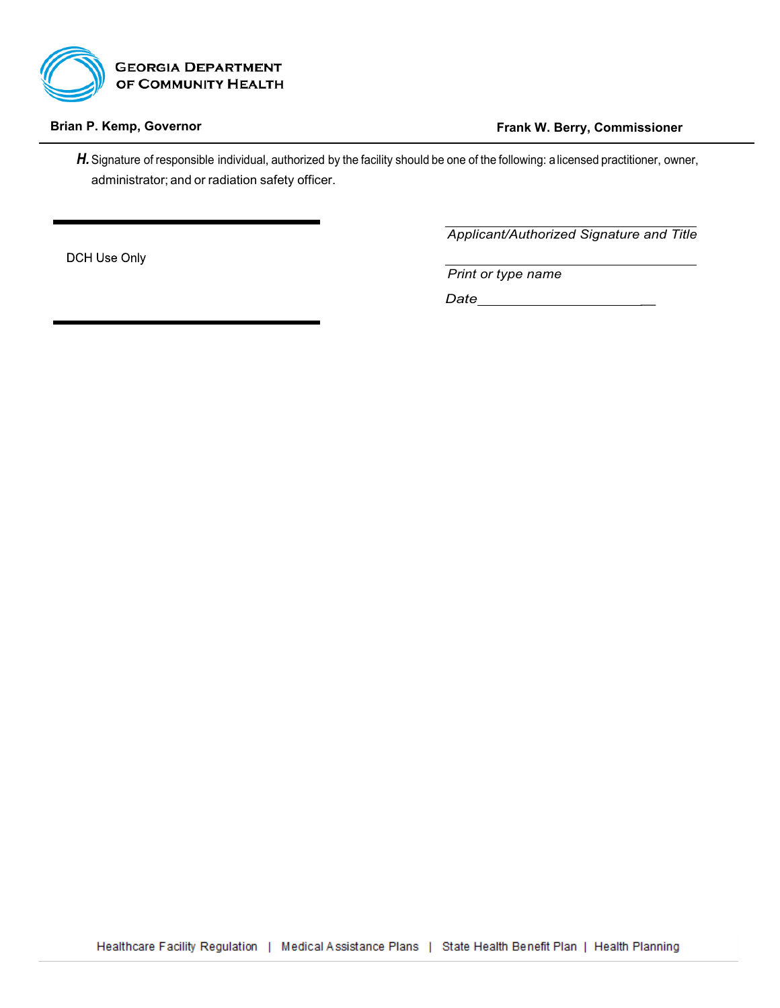

H. Signature of responsible individual, authorized by the facility should be one of the following: a licensed practitioner, owner, administrator; and or radiation safety officer.

DCH Use Only

*Applicant/Authorized Signature and Title*

*Print or type name*

*Date \_*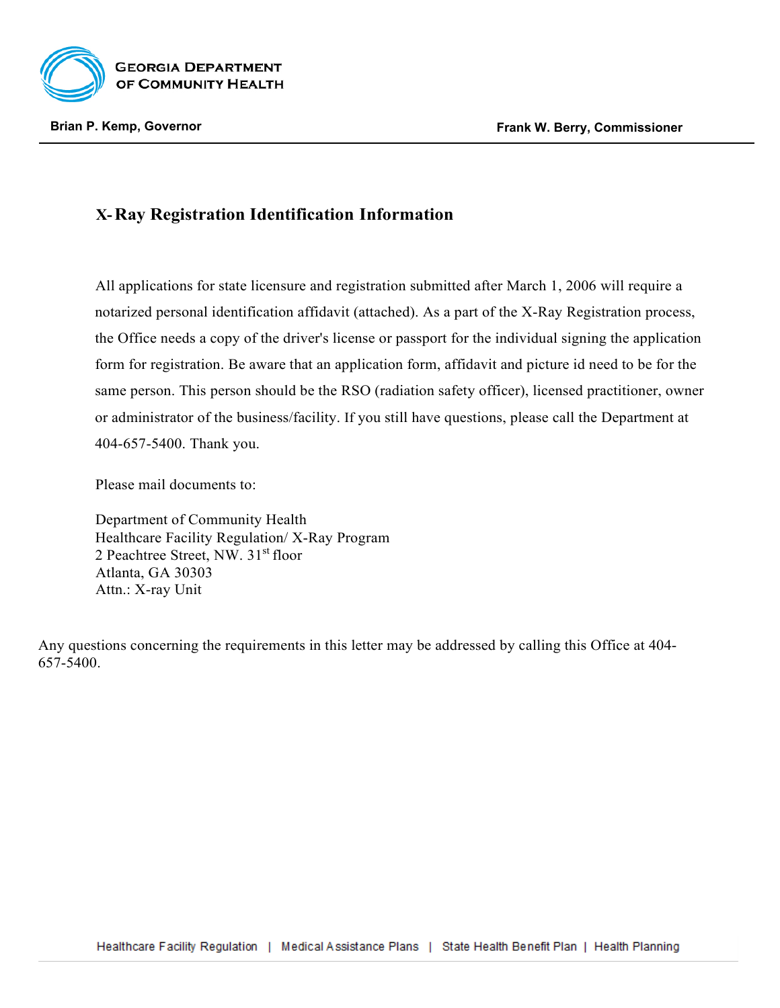

# **X-Ray Registration Identification Information**

All applications for state licensure and registration submitted after March 1, 2006 will require a notarized personal identification affidavit (attached). As a part of the X-Ray Registration process, the Office needs a copy of the driver's license or passport for the individual signing the application form for registration. Be aware that an application form, affidavit and picture id need to be for the same person. This person should be the RSO (radiation safety officer), licensed practitioner, owner or administrator of the business/facility. If you still have questions, please call the Department at 404-657-5400. Thank you.

Please mail documents to:

Department of Community Health Healthcare Facility Regulation/ X-Ray Program 2 Peachtree Street, NW. 31<sup>st</sup> floor Atlanta, GA 30303 Attn.: X-ray Unit

Any questions concerning the requirements in this letter may be addressed by calling this Office at 404- 657-5400.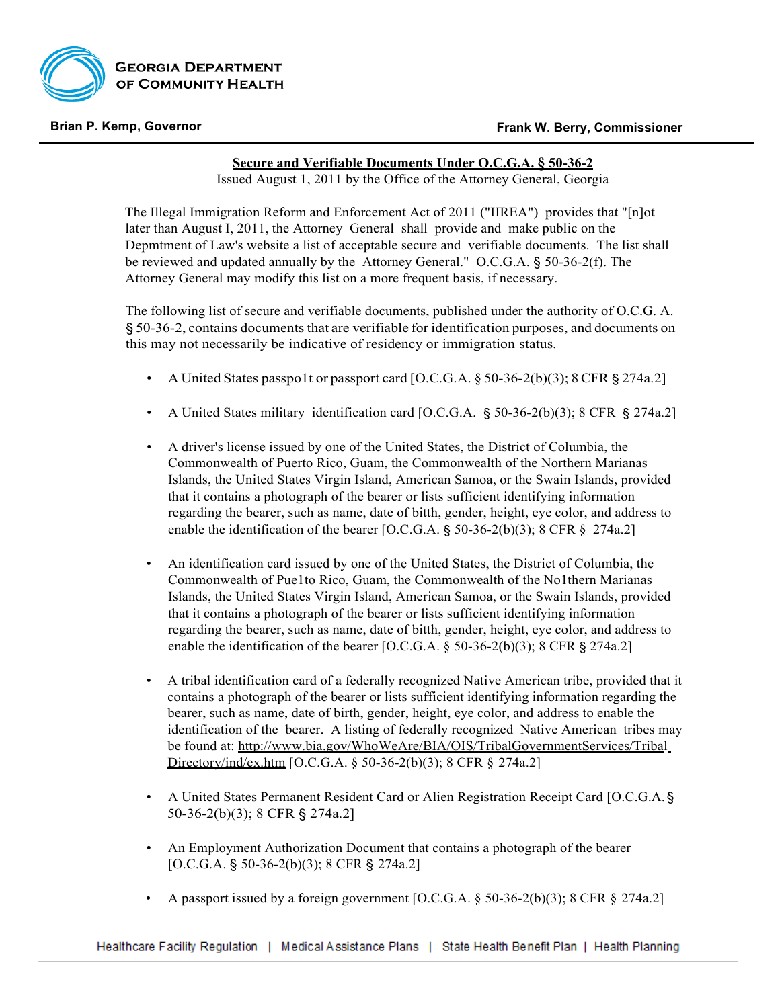

### **Secure and Verifiable Documents Under O.C.G.A. § 50-36-2**

Issued August 1, 2011 by the Office of the Attorney General, Georgia

The Illegal Immigration Reform and Enforcement Act of 2011 ("IIREA") provides that "[n]ot later than August I, 2011, the Attorney General shall provide and make public on the Depmtment of Law's website a list of acceptable secure and verifiable documents. The list shall be reviewed and updated annually by the Attorney General." O.C.G.A. § 50-36-2(f). The Attorney General may modify this list on a more frequent basis, if necessary.

The following list of secure and verifiable documents, published under the authority of O.C.G. A. § 50-36-2, contains documents that are verifiable for identification purposes, and documents on this may not necessarily be indicative of residency or immigration status.

- A United States passpo1t or passport card [O.C.G.A. § 50-36-2(b)(3); 8 CFR § 274a.2]
- A United States military identification card [O.C.G.A. § 50-36-2(b)(3); 8 CFR § 274a.2]
- A driver's license issued by one of the United States, the District of Columbia, the Commonwealth of Puerto Rico, Guam, the Commonwealth of the Northern Marianas Islands, the United States Virgin Island, American Samoa, or the Swain Islands, provided that it contains a photograph of the bearer or lists sufficient identifying information regarding the bearer, such as name, date of bitth, gender, height, eye color, and address to enable the identification of the bearer [O.C.G.A. § 50-36-2(b)(3); 8 CFR § 274a.2]
- An identification card issued by one of the United States, the District of Columbia, the Commonwealth of Pue1to Rico, Guam, the Commonwealth of the No1thern Marianas Islands, the United States Virgin Island, American Samoa, or the Swain Islands, provided that it contains a photograph of the bearer or lists sufficient identifying information regarding the bearer, such as name, date of bitth, gender, height, eye color, and address to enable the identification of the bearer [O.C.G.A. § 50-36-2(b)(3); 8 CFR § 274a.2]
- A tribal identification card of a federally recognized Native American tribe, provided that it contains a photograph of the bearer or lists sufficient identifying information regarding the bearer, such as name, date of birth, gender, height, eye color, and address to enable the identification of the bearer. A listing of federally recognized Native American tribes may be found at:<http://www.bia.gov/WhoWeAre/BIA/OIS/TribalGovernmentServices/Tribal> Directory/ind/ex.htm [O.C.G.A. § 50-36-2(b)(3); 8 CFR § 274a.2]
- A United States Permanent Resident Card or Alien Registration Receipt Card [O.C.G.A. § 50-36-2(b)(3); 8 CFR § 274a.2]
- An Employment Authorization Document that contains a photograph of the bearer [O.C.G.A. § 50-36-2(b)(3); 8 CFR § 274a.2]
- A passport issued by a foreign government [O.C.G.A.  $\S$  50-36-2(b)(3); 8 CFR  $\S$  274a.2]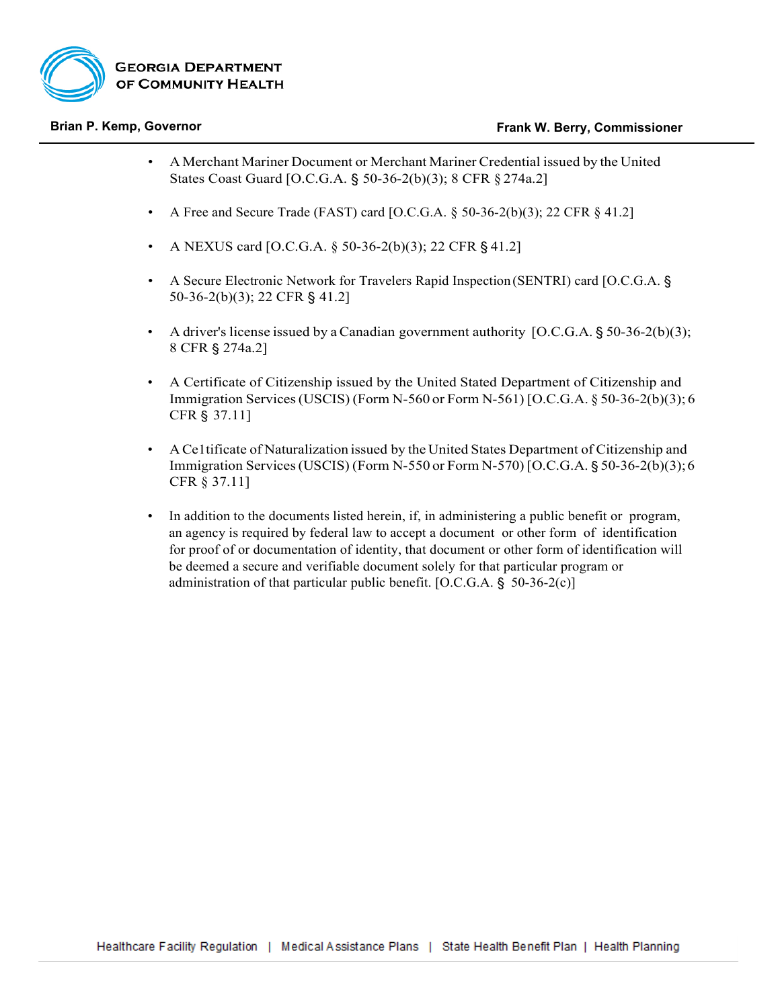

- A Merchant Mariner Document or Merchant Mariner Credential issued by the United States Coast Guard [O.C.G.A. § 50-36-2(b)(3); 8 CFR § 274a.2]
- A Free and Secure Trade (FAST) card [O.C.G.A.  $\S$  50-36-2(b)(3); 22 CFR  $\S$  41.2]
- A NEXUS card [O.C.G.A.  $\S$  50-36-2(b)(3); 22 CFR  $\S$  41.2]
- A Secure Electronic Network for Travelers Rapid Inspection (SENTRI) card [O.C.G.A. § 50-36-2(b)(3); 22 CFR § 41.2]
- A driver's license issued by a Canadian government authority  $[O.C.G.A. § 50-36-2(b)(3);$ 8 CFR § 274a.2]
- A Certificate of Citizenship issued by the United Stated Department of Citizenship and Immigration Services(USCIS) (Form N-560 or Form N-561) [O.C.G.A. § 50-36-2(b)(3); 6 CFR § 37.11]
- A Ce1tificate of Naturalization issued by the United States Department of Citizenship and Immigration Services(USCIS) (Form N-550 or Form N-570) [O.C.G.A. § 50-36-2(b)(3);6 CFR § 37.11]
- In addition to the documents listed herein, if, in administering a public benefit or program, an agency is required by federal law to accept a document or other form of identification for proof of or documentation of identity, that document or other form of identification will be deemed a secure and verifiable document solely for that particular program or administration of that particular public benefit. [O.C.G.A. § 50-36-2(c)]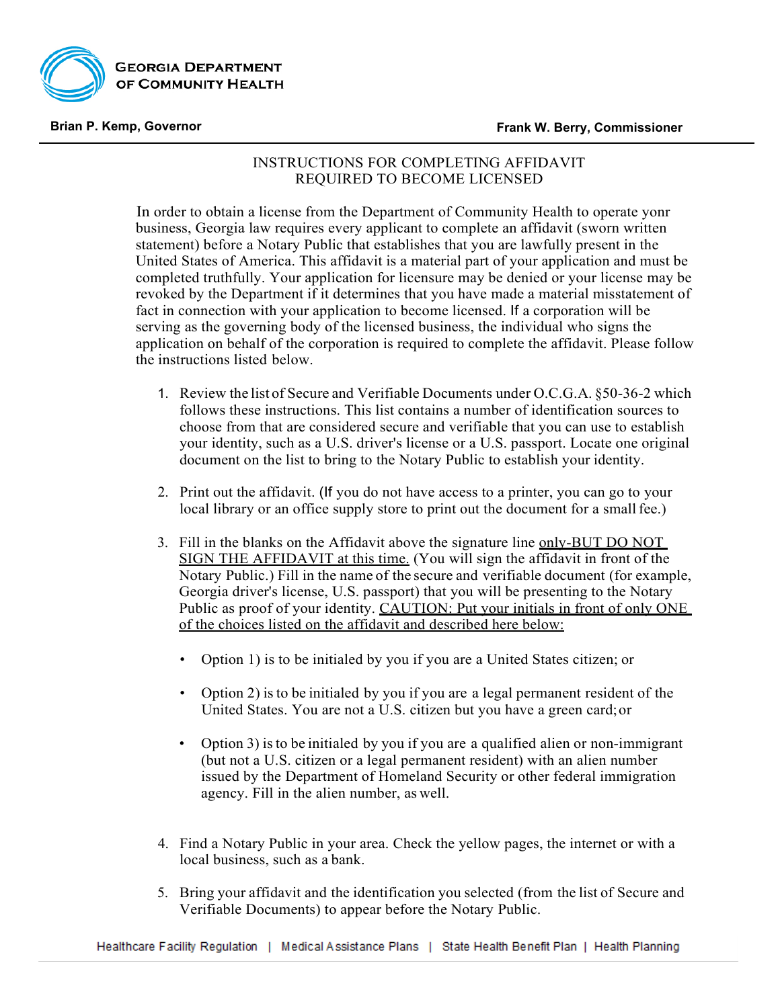

## INSTRUCTIONS FOR COMPLETING AFFIDAVIT REQUIRED TO BECOME LICENSED

In order to obtain a license from the Department of Community Health to operate yonr business, Georgia law requires every applicant to complete an affidavit (sworn written statement) before a Notary Public that establishes that you are lawfully present in the United States of America. This affidavit is a material part of your application and must be completed truthfully. Your application for licensure may be denied or your license may be revoked by the Department if it determines that you have made a material misstatement of fact in connection with your application to become licensed. If a corporation will be serving as the governing body of the licensed business, the individual who signs the application on behalf of the corporation is required to complete the affidavit. Please follow the instructions listed below.

- 1. Review the list of Secure and Verifiable Documents under O.C.G.A. §50-36-2 which follows these instructions. This list contains a number of identification sources to choose from that are considered secure and verifiable that you can use to establish your identity, such as a U.S. driver's license or a U.S. passport. Locate one original document on the list to bring to the Notary Public to establish your identity.
- 2. Print out the affidavit. (If you do not have access to a printer, you can go to your local library or an office supply store to print out the document for a small fee.)
- 3. Fill in the blanks on the Affidavit above the signature line only-BUT DO NOT SIGN THE AFFIDAVIT at this time. (You will sign the affidavit in front of the Notary Public.) Fill in the name of the secure and verifiable document (for example, Georgia driver's license, U.S. passport) that you will be presenting to the Notary Public as proof of your identity. CAUTION: Put your initials in front of only ONE of the choices listed on the affidavit and described here below:
	- Option 1) is to be initialed by you if you are a United States citizen; or
	- Option 2) isto be initialed by you if you are a legal permanent resident of the United States. You are not a U.S. citizen but you have a green card;or
	- Option 3) isto be initialed by you if you are a qualified alien or non-immigrant (but not a U.S. citizen or a legal permanent resident) with an alien number issued by the Department of Homeland Security or other federal immigration agency. Fill in the alien number, as well.
- 4. Find a Notary Public in your area. Check the yellow pages, the internet or with a local business, such as a bank.
- 5. Bring your affidavit and the identification you selected (from the list of Secure and Verifiable Documents) to appear before the Notary Public.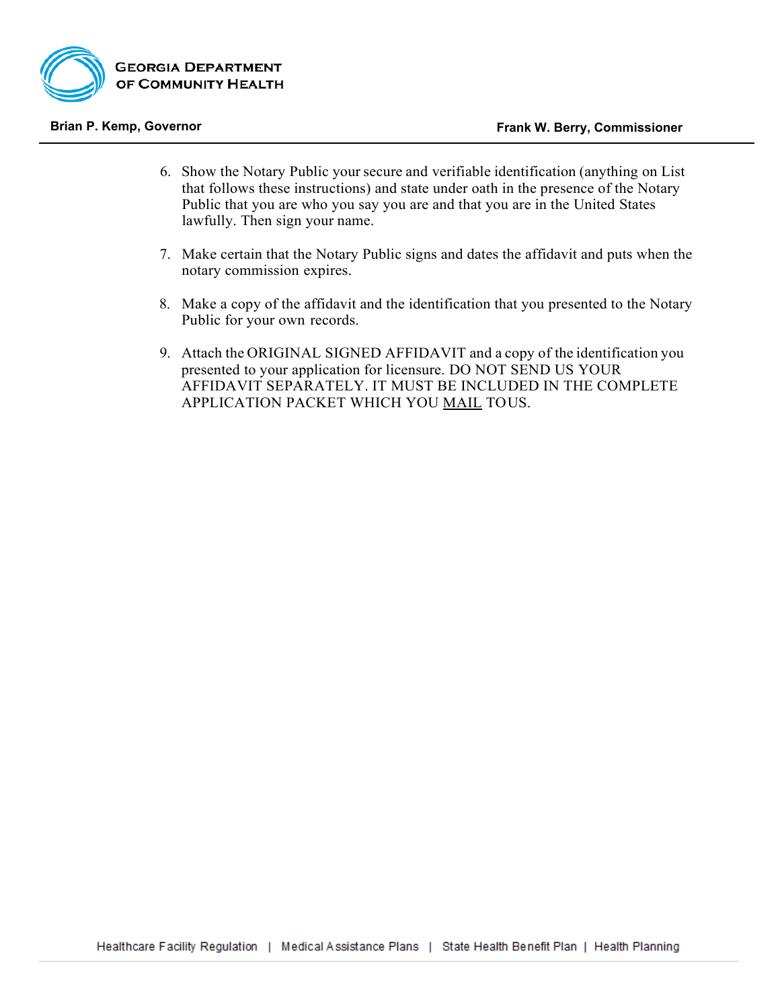

- 6. Show the Notary Public your secure and verifiable identification (anything on List that follows these instructions) and state under oath in the presence of the Notary Public that you are who you say you are and that you are in the United States lawfully. Then sign your name.
- 7. Make certain that the Notary Public signs and dates the affidavit and puts when the notary commission expires.
- 8. Make a copy of the affidavit and the identification that you presented to the Notary Public for your own records.
- 9. Attach the ORIGINAL SIGNED AFFIDAVIT and a copy of the identification you presented to your application for licensure. DO NOT SEND US YOUR AFFIDAVIT SEPARATELY. IT MUST BE INCLUDED IN THE COMPLETE APPLICATION PACKET WHICH YOU MAIL TOUS.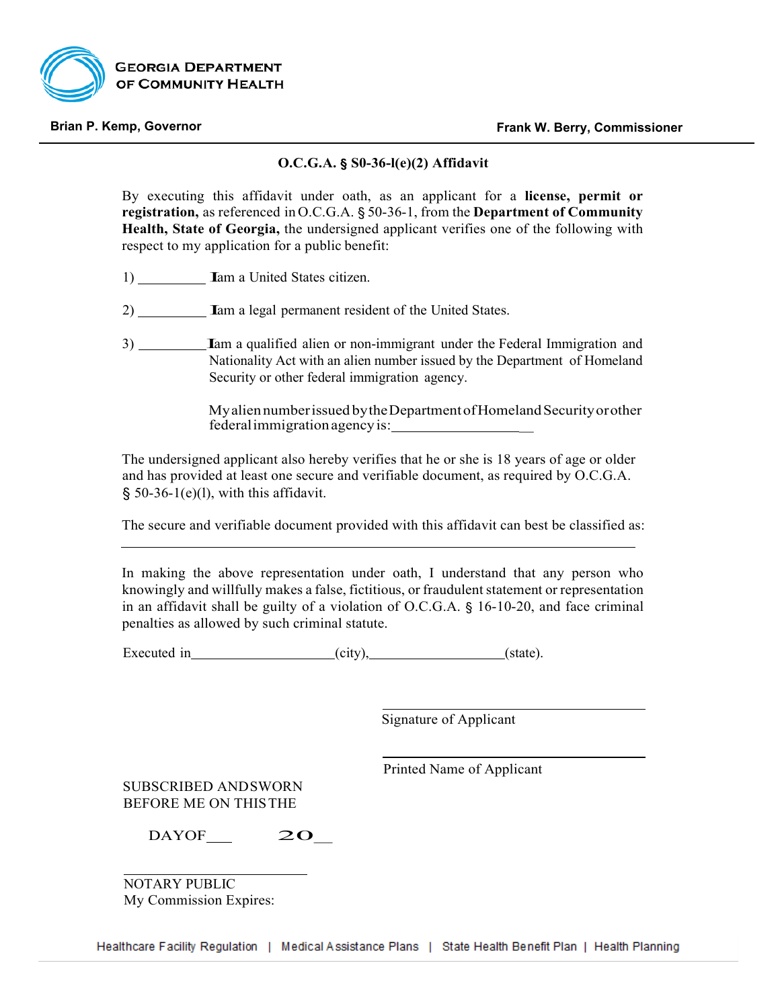

### **O.C.G.A. § S0-36-l(e)(2) Affidavit**

By executing this affidavit under oath, as an applicant for a **license, permit or registration,** as referenced in O.C.G.A. § 50-36-1, from the **Department of Community Health, State of Georgia,** the undersigned applicant verifies one of the following with respect to my application for a public benefit:

- 1) **Iam a United States citizen.**
- 2) Iam <sup>a</sup> legal permanent resident of the United States.
- 3) Iam <sup>a</sup> qualified alien or non-immigrant under the Federal Immigration and Nationality Act with an alien number issued by the Department of Homeland Security or other federal immigration agency.

Myalien number issued by the Department of Homeland Security or other federalimmigrationagencyis: \_

The undersigned applicant also hereby verifies that he or she is 18 years of age or older and has provided at least one secure and verifiable document, as required by O.C.G.A.  $§$  50-36-1(e)(l), with this affidavit.

The secure and verifiable document provided with this affidavit can best be classified as:

In making the above representation under oath, I understand that any person who knowingly and willfully makes a false, fictitious, or fraudulent statement or representation in an affidavit shall be guilty of a violation of O.C.G.A. § 16-10-20, and face criminal penalties as allowed by such criminal statute.

Executed in (city), (state).

Signature of Applicant

Printed Name of Applicant

SUBSCRIBED ANDSWORN BEFORE ME ON THISTHE

 $DAYOF$  20

NOTARY PUBLIC My Commission Expires: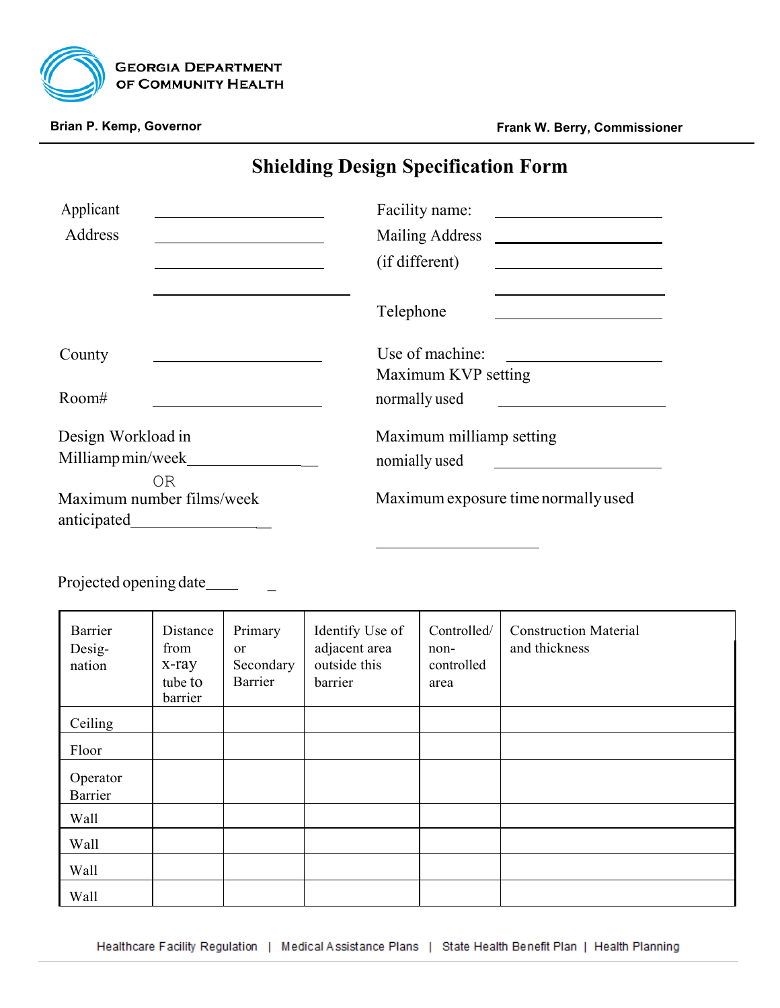

# **Shielding Design Specification Form**

| Applicant                 | Facility name:                      |
|---------------------------|-------------------------------------|
| Address                   | Mailing Address                     |
|                           | (if different)                      |
|                           | Telephone                           |
| County                    | Use of machine:                     |
|                           | Maximum KVP setting                 |
| Room#                     | normally used                       |
| Design Workload in        | Maximum milliamp setting            |
| Milliamp min/week         | nomially used                       |
| 0R                        |                                     |
| Maximum number films/week | Maximum exposure time normally used |
| anticipated               |                                     |

Projected opening date\_\_\_\_\_

| Barrier<br>Desig-<br>nation | Distance<br>from<br>x-ray<br>tube to<br>barrier | Primary<br>or<br>Secondary<br>Barrier | Identify Use of<br>adjacent area<br>outside this<br>barrier | Controlled/<br>non-<br>controlled<br>area | <b>Construction Material</b><br>and thickness |
|-----------------------------|-------------------------------------------------|---------------------------------------|-------------------------------------------------------------|-------------------------------------------|-----------------------------------------------|
| Ceiling                     |                                                 |                                       |                                                             |                                           |                                               |
| Floor                       |                                                 |                                       |                                                             |                                           |                                               |
| Operator<br>Barrier         |                                                 |                                       |                                                             |                                           |                                               |
| Wall                        |                                                 |                                       |                                                             |                                           |                                               |
| Wall                        |                                                 |                                       |                                                             |                                           |                                               |
| Wall                        |                                                 |                                       |                                                             |                                           |                                               |
| Wall                        |                                                 |                                       |                                                             |                                           |                                               |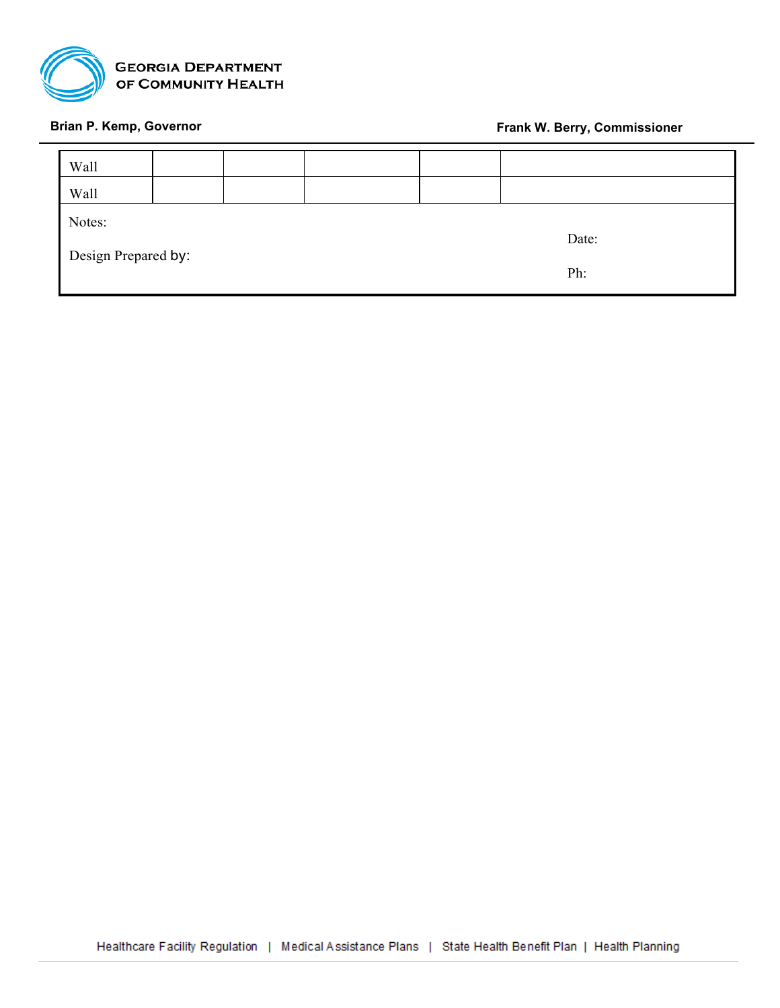

| <b>Wall</b>         |  |  |  |  |       |  |  |
|---------------------|--|--|--|--|-------|--|--|
| <b>Wall</b>         |  |  |  |  |       |  |  |
| Notes:              |  |  |  |  |       |  |  |
|                     |  |  |  |  | Date: |  |  |
| Design Prepared by: |  |  |  |  |       |  |  |
|                     |  |  |  |  | Ph:   |  |  |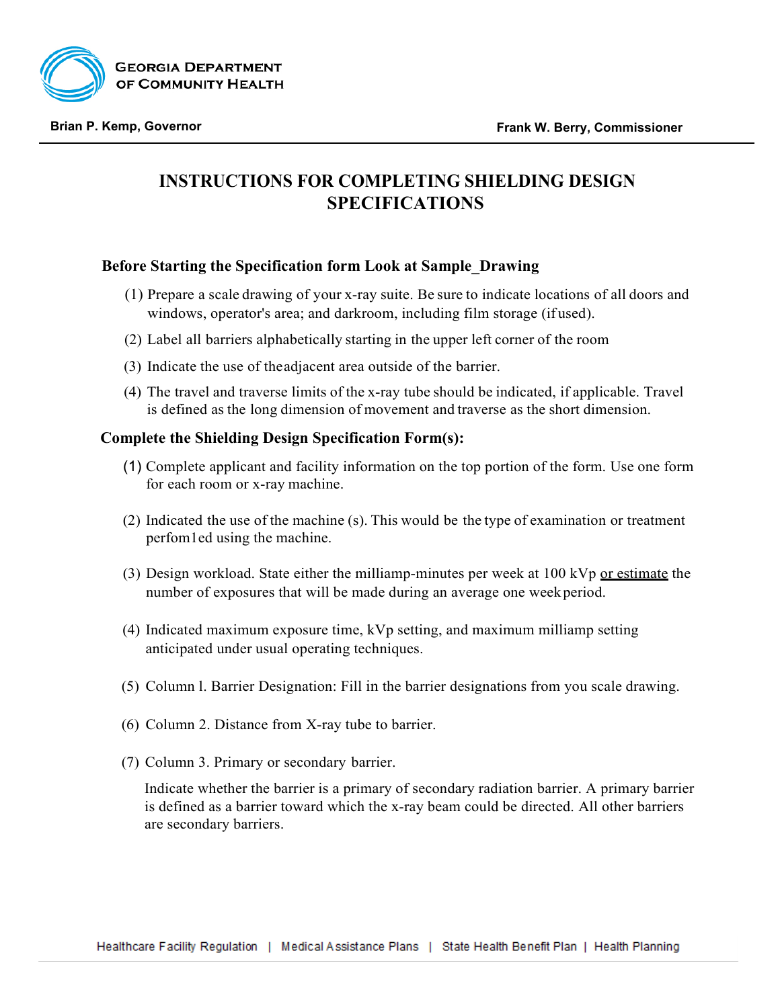

# **INSTRUCTIONS FOR COMPLETING SHIELDING DESIGN SPECIFICATIONS**

## **Before Starting the Specification form Look at Sample\_Drawing**

- (1) Prepare a scale drawing of your x-ray suite. Be sure to indicate locations of all doors and windows, operator's area; and darkroom, including film storage (if used).
- (2) Label all barriers alphabetically starting in the upper left corner of the room
- (3) Indicate the use of theadjacent area outside of the barrier.
- (4) The travel and traverse limits of the x-ray tube should be indicated, if applicable. Travel is defined as the long dimension of movement and traverse as the short dimension.

## **Complete the Shielding Design Specification Form(s):**

- (1) Complete applicant and facility information on the top portion of the form. Use one form for each room or x-ray machine.
- (2) Indicated the use of the machine (s). This would be the type of examination or treatment perfom1ed using the machine.
- (3) Design workload. State either the milliamp-minutes per week at  $100$  kVp or estimate the number of exposures that will be made during an average one weekperiod.
- (4) Indicated maximum exposure time, kVp setting, and maximum milliamp setting anticipated under usual operating techniques.
- (5) Column l. Barrier Designation: Fill in the barrier designations from you scale drawing.
- (6) Column 2. Distance from X-ray tube to barrier.
- (7) Column 3. Primary or secondary barrier.

Indicate whether the barrier is a primary of secondary radiation barrier. A primary barrier is defined as a barrier toward which the x-ray beam could be directed. All other barriers are secondary barriers.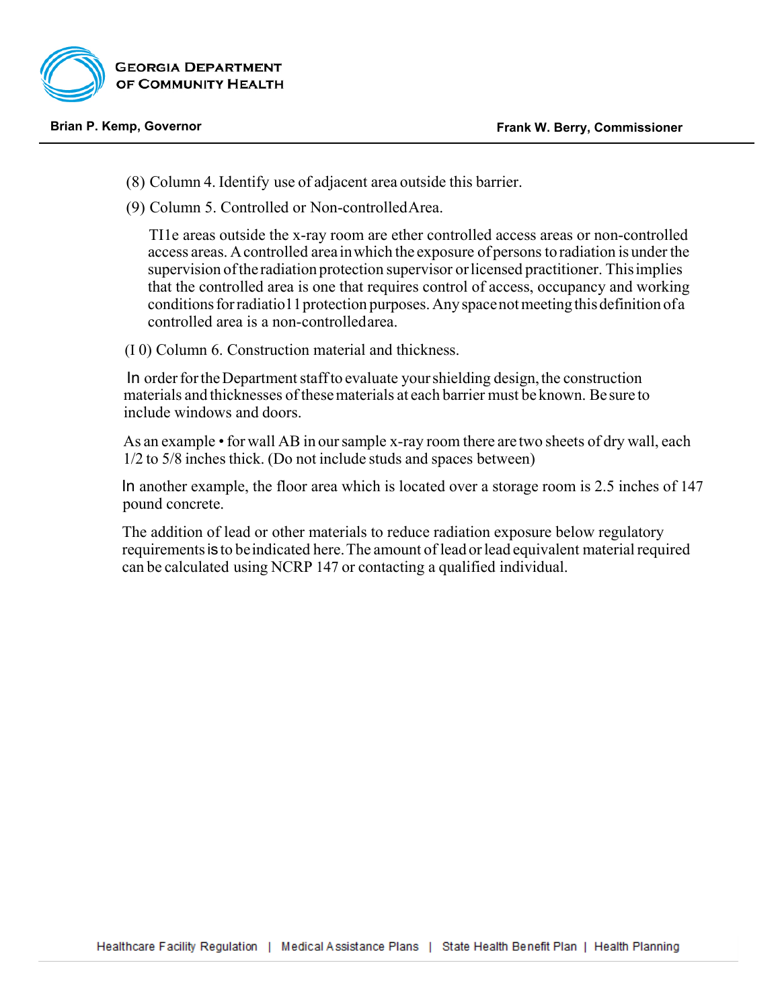

- (8) Column 4. Identify use of adjacent area outside this barrier.
- (9) Column 5. Controlled or Non-controlledArea.

TI1e areas outside the x-ray room are ether controlled access areas or non-controlled access areas. Acontrolled area inwhich the exposure of persons toradiation is underthe supervision of the radiation protection supervisor or licensed practitioner. This implies that the controlled area is one that requires control of access, occupancy and working conditions for radiatio11 protection purposes. Any space not meeting this definition of a controlled area is a non-controlledarea.

(I 0) Column 6. Construction material and thickness.

In order for the Department staff to evaluate your shielding design, the construction materials and thicknesses ofthesematerials at each barrier must be known. Be sure to include windows and doors.

As an example • for wall AB in our sample x-ray room there are two sheets of dry wall, each 1/2 to 5/8 inches thick. (Do not include studs and spaces between)

In another example, the floor area which is located over a storage room is 2.5 inches of 147 pound concrete.

The addition of lead or other materials to reduce radiation exposure below regulatory requirements is to be indicated here. The amount of lead or lead equivalent material required can be calculated using NCRP 147 or contacting a qualified individual.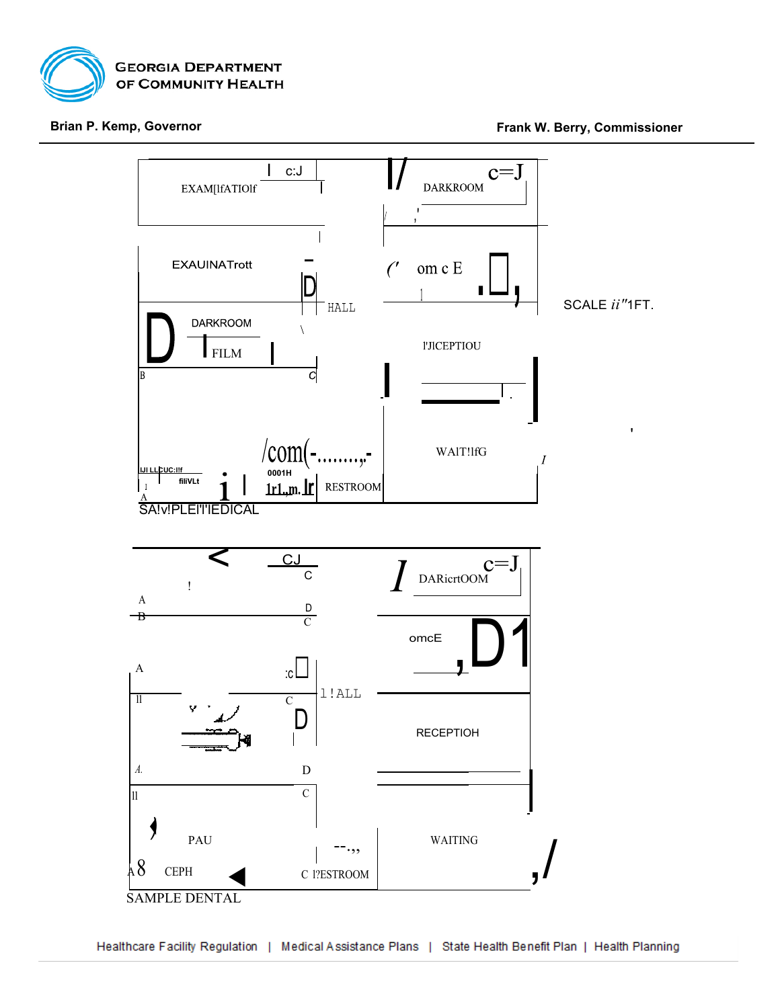

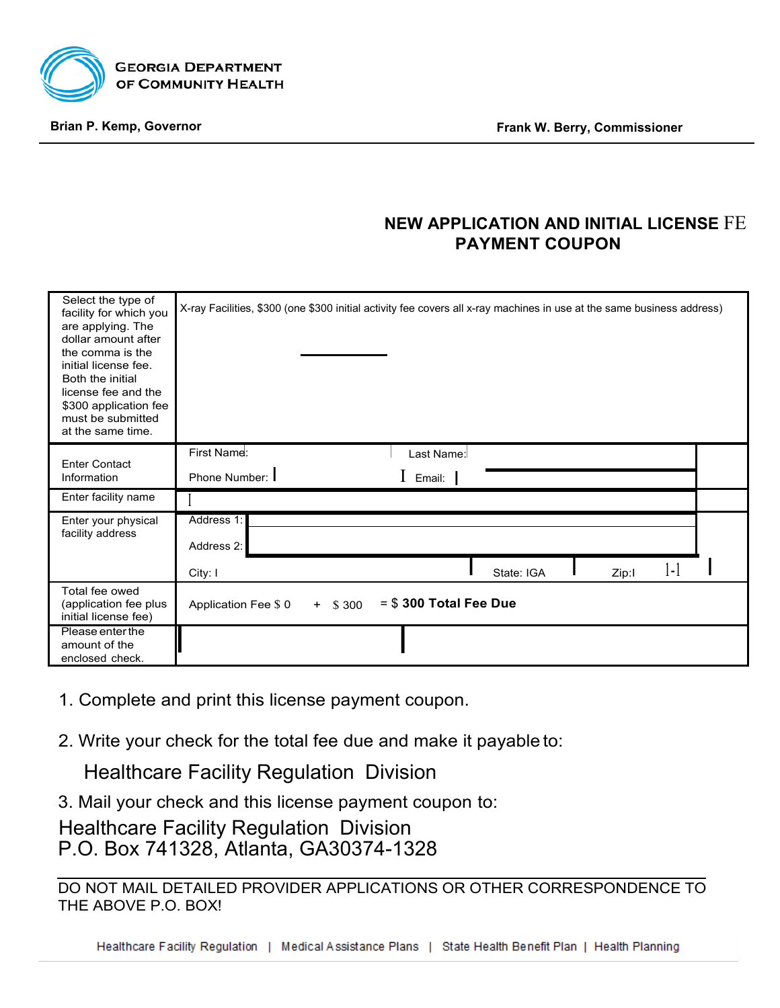

# **NEW APPLICATION AND INITIAL LICENSE** FE **PAYMENT COUPON**

| Select the type of<br>facility for which you<br>are applying. The<br>dollar amount after<br>the comma is the<br>initial license fee.<br>Both the initial<br>license fee and the<br>\$300 application fee<br>must be submitted<br>at the same time. | X-ray Facilities, \$300 (one \$300 initial activity fee covers all x-ray machines in use at the same business address) |
|----------------------------------------------------------------------------------------------------------------------------------------------------------------------------------------------------------------------------------------------------|------------------------------------------------------------------------------------------------------------------------|
| <b>Enter Contact</b><br>Information                                                                                                                                                                                                                | First Name:<br>Last Name:<br>$\mathbf 1$ Email:<br>Phone Number: I                                                     |
| Enter facility name                                                                                                                                                                                                                                |                                                                                                                        |
| Enter your physical<br>facility address                                                                                                                                                                                                            | Address 1:<br>Address 2:<br>$\left\lceil \cdot \right\rceil$<br>State: IGA<br>City: I<br>Zip:I                         |
| Total fee owed<br>(application fee plus<br>initial license fee)                                                                                                                                                                                    | $= $300$ Total Fee Due<br>$+$ \$ 300<br>Application Fee \$ 0                                                           |
| Please enter the<br>amount of the<br>enclosed check.                                                                                                                                                                                               |                                                                                                                        |

- 1. Complete and print this license payment coupon.
- 2. Write your check for the total fee due and make it payable to:

Healthcare Facility Regulation Division

3. Mail your check and this license payment coupon to:

Healthcare Facility Regulation Division P.O. Box 741328, Atlanta, GA30374-1328

DO NOT MAIL DETAILED PROVIDER APPLICATIONS OR OTHER CORRESPONDENCE TO THE ABOVE P.O. BOX!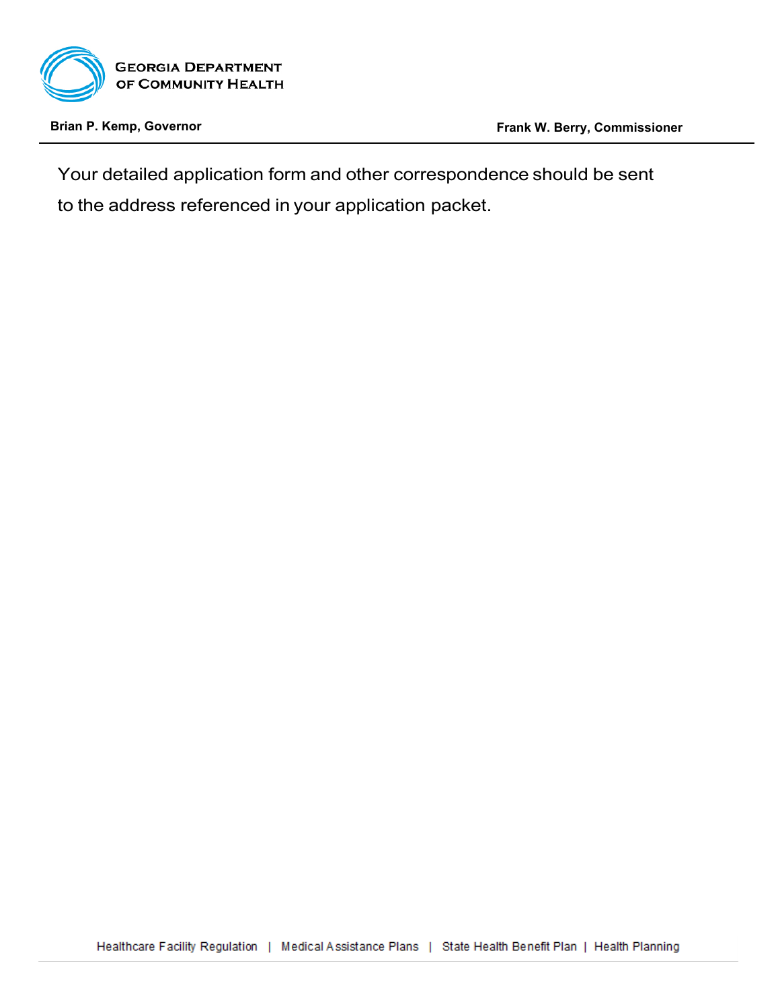

Your detailed application form and other correspondence should be sent to the address referenced in your application packet.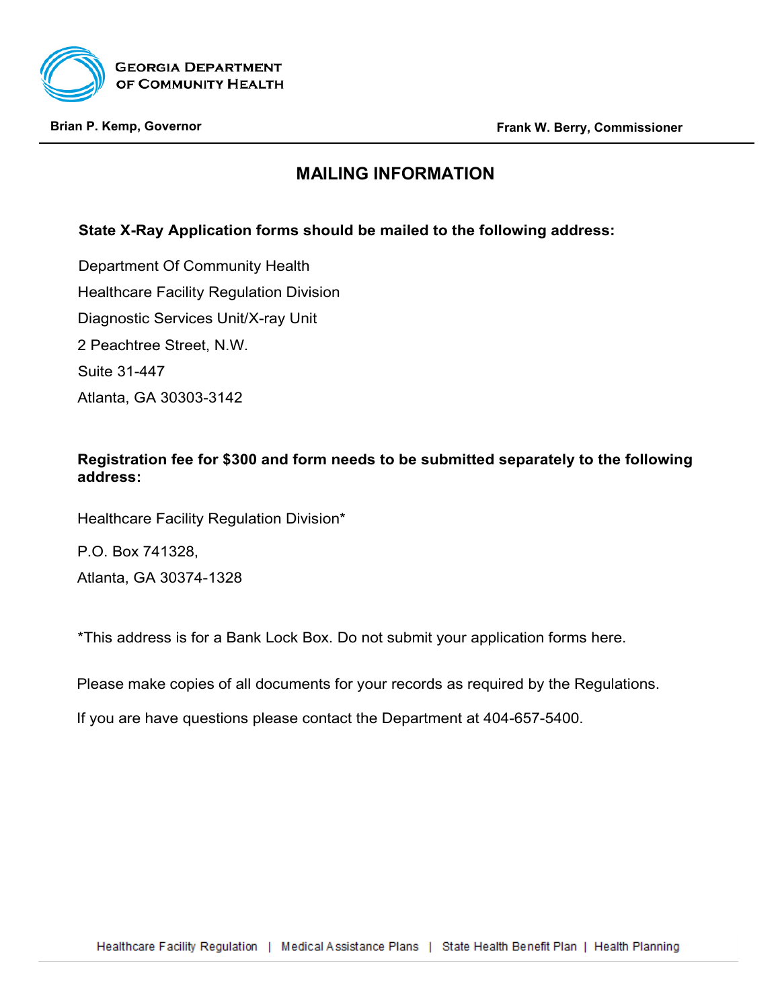

# **MAILING INFORMATION**

# **State X-Ray Application forms should be mailed to the following address:**

Department Of Community Health Healthcare Facility Regulation Division Diagnostic Services Unit/X-ray Unit 2 Peachtree Street, N.W. Suite 31-447 Atlanta, GA 30303-3142

## **Registration fee for \$300 and form needs to be submitted separately to the following address:**

Healthcare Facility Regulation Division\*

P.O. Box 741328,

Atlanta, GA 30374-1328

\*This address is for a Bank Lock Box. Do not submit your application forms here.

Please make copies of all documents for your records as required by the Regulations.

If you are have questions please contact the Department at 404-657-5400.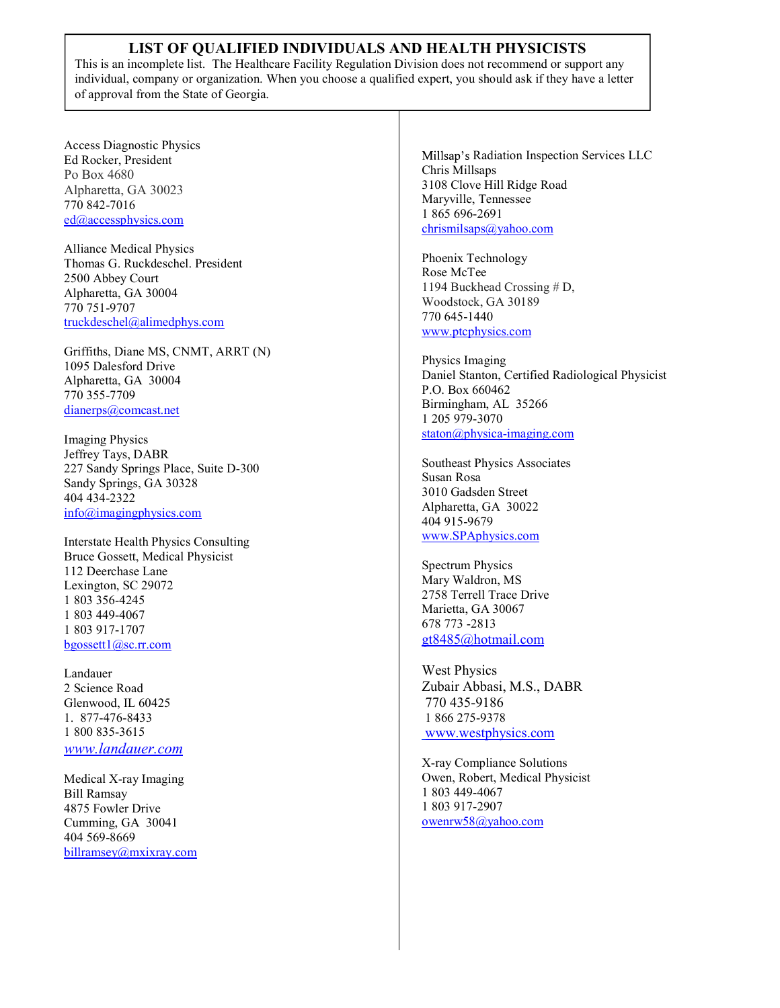## LIST OF QUALIFIED INDIVIDUALS AND HEALTH PHYSICISTS

This is an incomplete list. The Healthcare Facility Regulation Division does not recommend or support any individual, company or organization. When you choose a qualified expert, you should ask if they have a letter of approval from the State of Georgia.

Access Diagnostic Physics Ed Rocker, President Po Box 4680 Alpharetta, GA 30023 770 842-7016 ed@accessphysics.com

Alliance Medical Physics Thomas G. Ruckdeschel. President 2500 Abbey Court Alpharetta, GA 30004 770 751-9707 truckdeschel@alimedphys.com

Griffiths, Diane MS, CNMT, ARRT (N) 1095 Dalesford Drive Alpharetta, GA 30004 770 355-7709 dianerps@comcast.net

Imaging Physics Jeffrey Tays, DABR 227 Sandy Springs Place, Suite D-300 Sandy Springs, GA 30328 404 434-2322 info@imagingphysics.com

Interstate Health Physics Consulting Bruce Gossett, Medical Physicist 112 Deerchase Lane Lexington, SC 29072 1 803 356-4245 1 803 449-4067 1 803 917-1707 bgossett1@sc.rr.com

Landauer 2 Science Road Glenwood, IL 60425 1. 877-476-8433 1 800 835-3615 www.landauer.com

Medical X-ray Imaging Bill Ramsay 4875 Fowler Drive Cumming, GA 30041 404 569-8669 billramsey@mxixray.com Millsap's Radiation Inspection Services LLC Chris Millsaps 3108 Clove Hill Ridge Road Maryville, Tennessee 1 865 696-2691 chrismilsaps@yahoo.com

Phoenix Technology Rose McTee 1194 Buckhead Crossing # D, Woodstock, GA 30189 770 645-1440 www.ptcphysics.com

Physics Imaging Daniel Stanton, Certified Radiological Physicist P.O. Box 660462 Birmingham, AL 35266 1 205 979-3070 staton@physica-imaging.com

Southeast Physics Associates Susan Rosa 3010 Gadsden Street Alpharetta, GA 30022 404 915-9679 www.SPAphysics.com

Spectrum Physics Mary Waldron, MS 2758 Terrell Trace Drive Marietta, GA 30067 678 773 -2813 gt8485@hotmail.com

West Physics Zubair Abbasi, M.S., DABR 770 435-9186 1 866 275-9378 www.westphysics.com

X-ray Compliance Solutions Owen, Robert, Medical Physicist 1 803 449-4067 1 803 917-2907 owenrw58@yahoo.com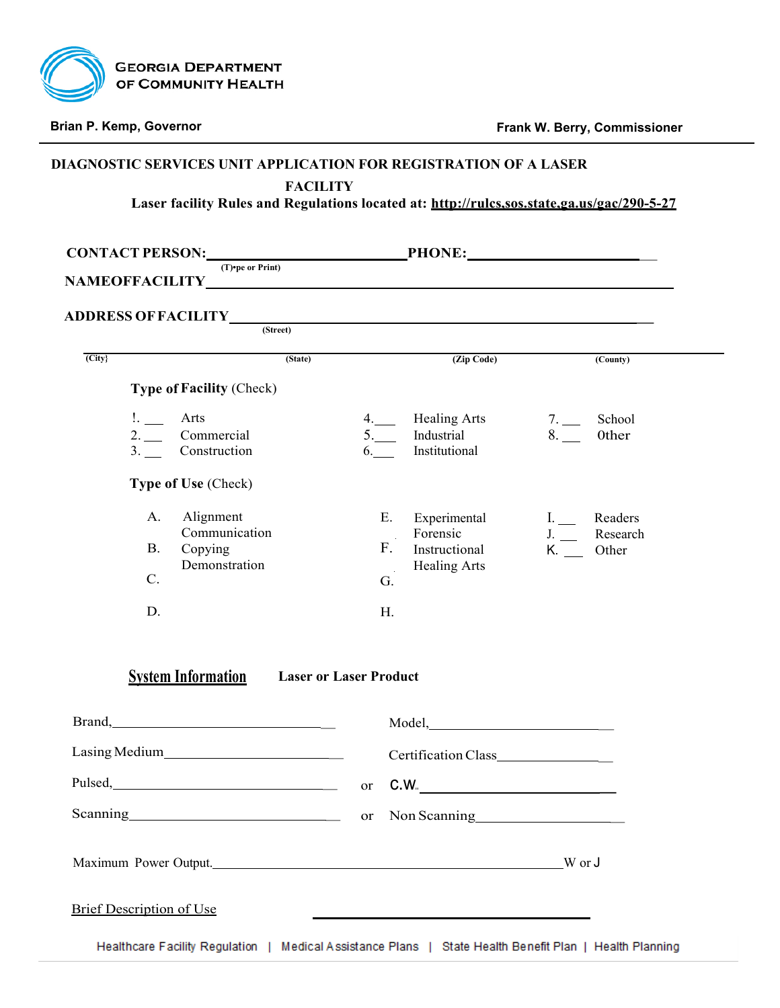

|                     | CONTACT PERSON: $\underline{\hspace{2cm}}$ PHONE: |                               |                                |                           |              |
|---------------------|---------------------------------------------------|-------------------------------|--------------------------------|---------------------------|--------------|
|                     |                                                   |                               |                                |                           |              |
|                     | ADDRESS OF FACILITY<br>(Street)                   |                               |                                |                           |              |
|                     |                                                   |                               |                                |                           |              |
| $\overline{(City)}$ |                                                   | (State)                       | (Zip Code)                     |                           | (County)     |
|                     | <b>Type of Facility (Check)</b>                   |                               |                                |                           |              |
|                     | $\mathbb{L}$ $\mathbb{L}$<br>Arts                 |                               | 4. Healing Arts                | 7.                        | School       |
|                     | 2. Commercial<br>3. Construction                  | 6.                            | 5. Industrial<br>Institutional | 8.                        | <b>Other</b> |
|                     | Type of Use (Check)                               |                               |                                |                           |              |
|                     |                                                   |                               |                                |                           |              |
|                     | Alignment<br>А.<br>Communication                  | Е.                            | Experimental<br>Forensic       | I. Readers<br>J. Research |              |
|                     | В.<br>Copying                                     | $\sim$ $\sim$<br>F.           | Instructional                  | K. Other                  |              |
|                     | Demonstration<br>C <sub>1</sub>                   | G.                            | Healing Arts                   |                           |              |
|                     |                                                   |                               |                                |                           |              |
|                     | D.                                                | Н.                            |                                |                           |              |
|                     |                                                   |                               |                                |                           |              |
|                     | <b>System Information</b>                         | <b>Laser or Laser Product</b> |                                |                           |              |
|                     |                                                   |                               |                                |                           |              |
| Brand,              |                                                   |                               | Model,                         |                           |              |
|                     |                                                   |                               | Certification Class            |                           |              |
|                     | Pulsed, Pulsed,                                   |                               | or $C.W$ .                     |                           |              |
|                     |                                                   |                               | or Non Scanning                |                           |              |
|                     |                                                   |                               |                                |                           |              |
|                     |                                                   |                               |                                |                           |              |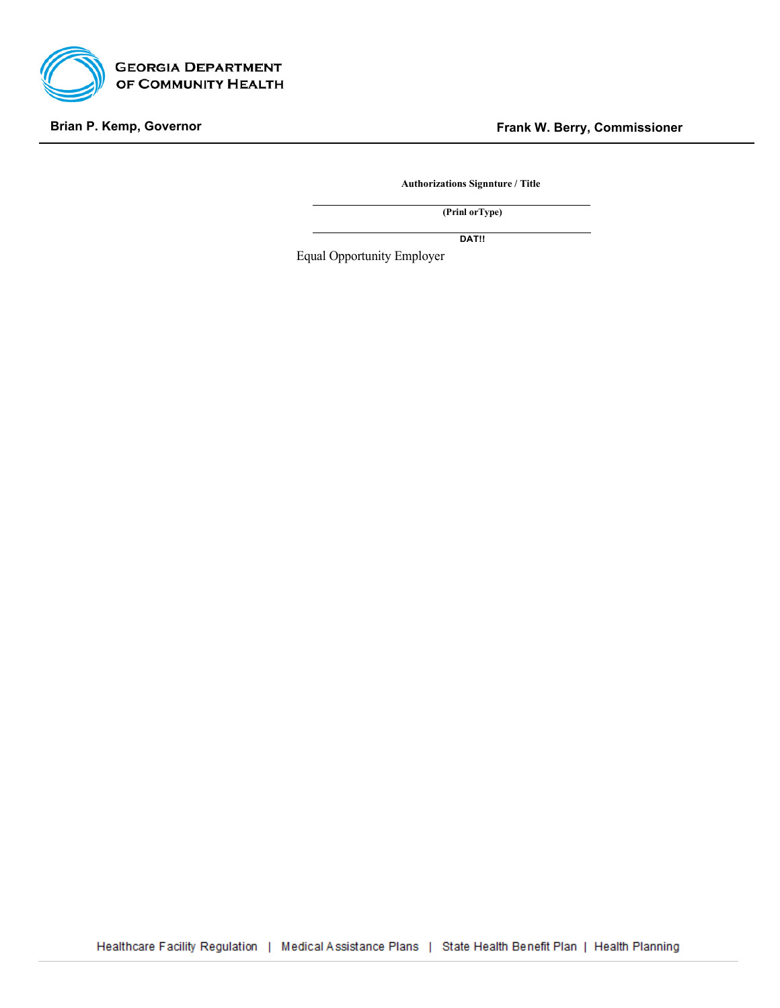

**Authorizations Signnture / Title**

**(Prinl orType)**

**DAT!!**

Equal Opportunity Employer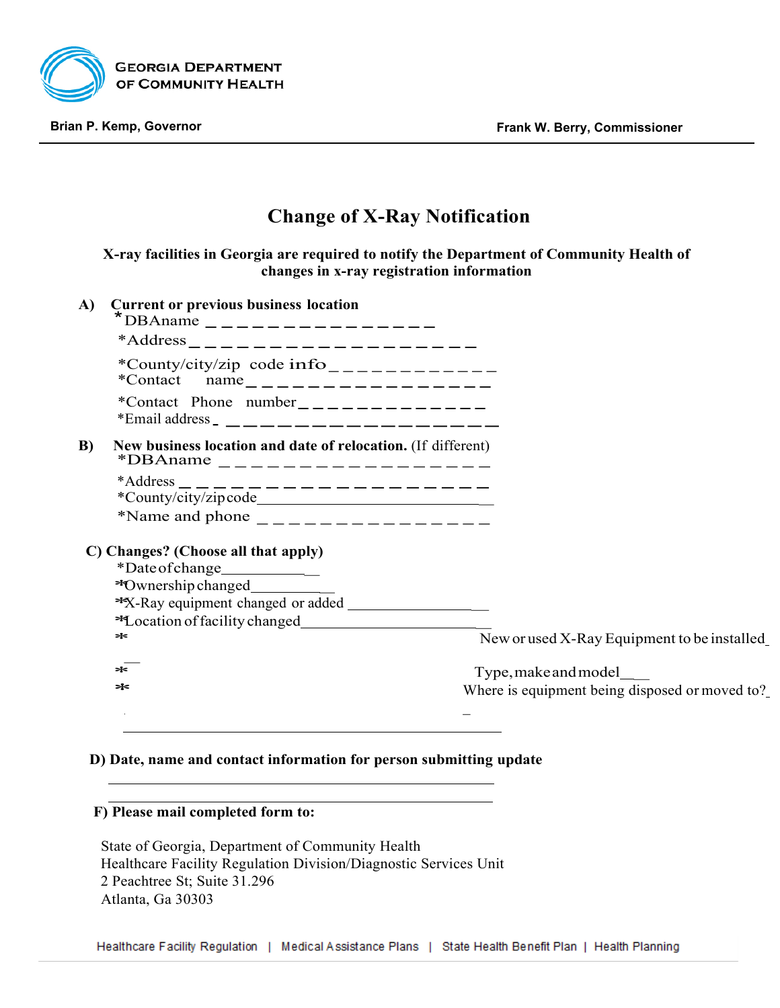

# **Change of X-Ray Notification**

**X-ray facilities in Georgia are required to notify the Department of Community Health of changes in x-ray registration information**

| A)       | <b>Current or previous business location</b><br>*DBAname _________________                   |                                                |
|----------|----------------------------------------------------------------------------------------------|------------------------------------------------|
|          |                                                                                              |                                                |
|          | *County/city/zip code info____________<br>*Contact $name_{---------------------$             |                                                |
|          | *Contact Phone number ______________<br>*Email address _ _____________________               |                                                |
| $\bf{B}$ | New business location and date of relocation. (If different)<br>*DBAname ___________________ |                                                |
|          |                                                                                              |                                                |
|          |                                                                                              |                                                |
|          | C) Changes? (Choose all that apply)                                                          |                                                |
|          | *Date of change_____________                                                                 |                                                |
|          |                                                                                              |                                                |
|          |                                                                                              |                                                |
|          |                                                                                              |                                                |
|          | ∗                                                                                            | New or used X-Ray Equipment to be installed    |
|          | ∗                                                                                            | Type, make and model                           |
|          | ∗                                                                                            | Where is equipment being disposed or moved to? |
|          |                                                                                              |                                                |
|          |                                                                                              |                                                |

### **D) Date, name and contact information for person submitting update**

## **F) Please mail completed form to:**

State of Georgia, Department of Community Health Healthcare Facility Regulation Division/Diagnostic Services Unit 2 Peachtree St; Suite 31.296 Atlanta, Ga 30303